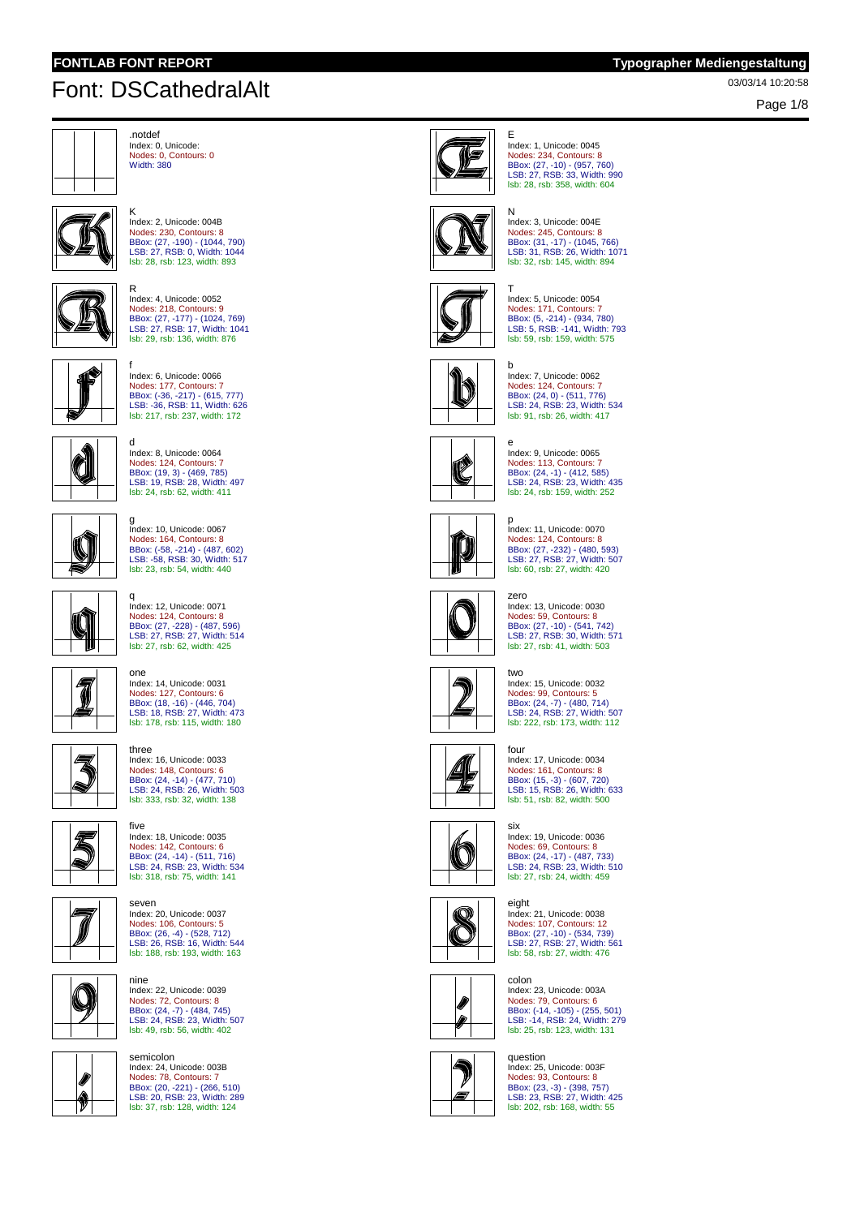K

# 03/03/14 10:20:58 Font: DSCathedralAlt

Page 1/8



.notdef Index: 0, Unicode: Nodes: 0, Contours: 0 Width: 380

Index: 2, Unicode: 004B Nodes: 230, Contours: 8



BBox: (27, -190) - (1044, 790) LSB: 27, RSB: 0, Width: 1044 lsb: 28, rsb: 123, width: 893 R Index: 4, Unicode: 0052 Nodes: 218, Contours: 9



BBox: (27, -177) - (1024, 769) LSB: 27, RSB: 17, Width: 1041 lsb: 29, rsb: 136, width: 876



f Index: 6, Unicode: 0066 Nodes: 177, Contours: 7 BBox: (-36, -217) - (615, 777) LSB: -36, RSB: 11, Width: 626 lsb: 217, rsb: 237, width: 172



d Index: 8, Unicode: 0064 Nodes: 124, Contours: 7 BBox: (19, 3) - (469, 785) LSB: 19, RSB: 28, Width: 497 lsb: 24, rsb: 62, width: 411



g Index: 10, Unicode: 0067 Nodes: 164, Contours: 8 BBox: (-58, -214) - (487, 602) LSB: -58, RSB: 30, Width: 517 lsb: 23, rsb: 54, width: 440



Index: 12, Unicode: 0071 Nodes: 124, Contours: 8 BBox: (27, -228) - (487, 596) LSB: 27, RSB: 27, Width: 514 lsb: 27, rsb: 62, width: 425

one Index: 14, Unicode: 0031

Nodes: 127, Contours: 6 BBox: (18, -16) - (446, 704) LSB: 18, RSB: 27, Width: 473 lsb: 178, rsb: 115, width: 180



three 气 Index: 16, Unicode: 0033 Nodes: 148, Contours: 6 BBox: (24, -14) - (477, 710) LSB: 24, RSB: 26, Width: 503 lsb: 333, rsb: 32, width: 138

five

nine

q



Index: 18, Unicode: 0035 Nodes: 142, Contours: 6 BBox: (24, -14) - (511, 716) LSB: 24, RSB: 23, Width: 534 lsb: 318, rsb: 75, width: 141



seven Index: 20, Unicode: 0037 Nodes: 106, Contours: 5 BBox: (26, -4) - (528, 712) LSB: 26, RSB: 16, Width: 544 lsb: 188, rsb: 193, width: 163

Index: 22, Unicode: 0039 Nodes: 72, Contours: 8 BBox: (24, -7) - (484, 745) LSB: 24, RSB: 23, Width: 507 lsb: 49, rsb: 56, width: 402



Ø 1

semicolon Index: 24, Unicode: 003B Nodes: 78, Contours: 7 BBox: (20, -221) - (266, 510) LSB: 20, RSB: 23, Width: 289 lsb: 37, rsb: 128, width: 124



E Index: 1, Unicode: 0045 Nodes: 234, Contours: 8 BBox: (27, -10) - (957, 760) LSB: 27, RSB: 33, Width: 990 lsb: 28, rsb: 358, width: 604



N Index: 3, Unicode: 004E Nodes: 245, Contours: 8 BBox: (31, -17) - (1045, 766) LSB: 31, RSB: 26, Width: 1071 lsb: 32, rsb: 145, width: 894



T Index: 5, Unicode: 0054 Nodes: 171, Contours: 7 BBox: (5, -214) - (934, 780)<br>LSB: 5, RSB: -141, Width: 793<br>Isb: 59, rsb: 159, width: 575



b Index: 7, Unicode: 0062 Nodes: 124, Contours: 7 BBox: (24, 0) - (511, 776) LSB: 24, RSB: 23, Width: 534 lsb: 91, rsb: 26, width: 417



e Index: 9, Unicode: 0065 Nodes: 113, Contours: 7 BBox: (24, -1) - (412, 585) LSB: 24, RSB: 23, Width: 435 lsb: 24, rsb: 159, width: 252



p Index: 11, Unicode: 0070 Nodes: 124, Contours: 8 BBox: (27, -232) - (480, 593) LSB: 27, RSB: 27, Width: 507 lsb: 60, rsb: 27, width: 420



zero Index: 13, Unicode: 0030 Nodes: 59, Contours: 8 BBox: (27, -10) - (541, 742) LSB: 27, RSB: 30, Width: 571 lsb: 27, rsb: 41, width: 503



two Index: 15, Unicode: 0032 Nodes: 99, Contours: 5 BBox: (24, -7) - (480, 714) LSB: 24, RSB: 27, Width: 507 lsb: 222, rsb: 173, width: 112



four Index: 17, Unicode: 0034 Nodes: 161, Contours: 8 BBox: (15, -3) - (607, 720) LSB: 15, RSB: 26, Width: 633 lsb: 51, rsb: 82, width: 500



six Index: 19, Unicode: 0036 Nodes: 69, Contours: 8 BBox: (24, -17) - (487, 733) LSB: 24, RSB: 23, Width: 510 lsb: 27, rsb: 24, width: 459

 $\mathbb{Q}$ Œ



colon Index: 23, Unicode: 003A Nodes: 79, Contours: 6 BBox: (-14, -105) - (255, 501) LSB: -14, RSB: 24, Width: 279 lsb: 25, rsb: 123, width: 131



Ø 0

> question Index: 25, Unicode: 003F Nodes: 93, Contours: 8 BBox: (23, -3) - (398, 757) LSB: 23, RSB: 27, Width: 425 lsb: 202, rsb: 168, width: 55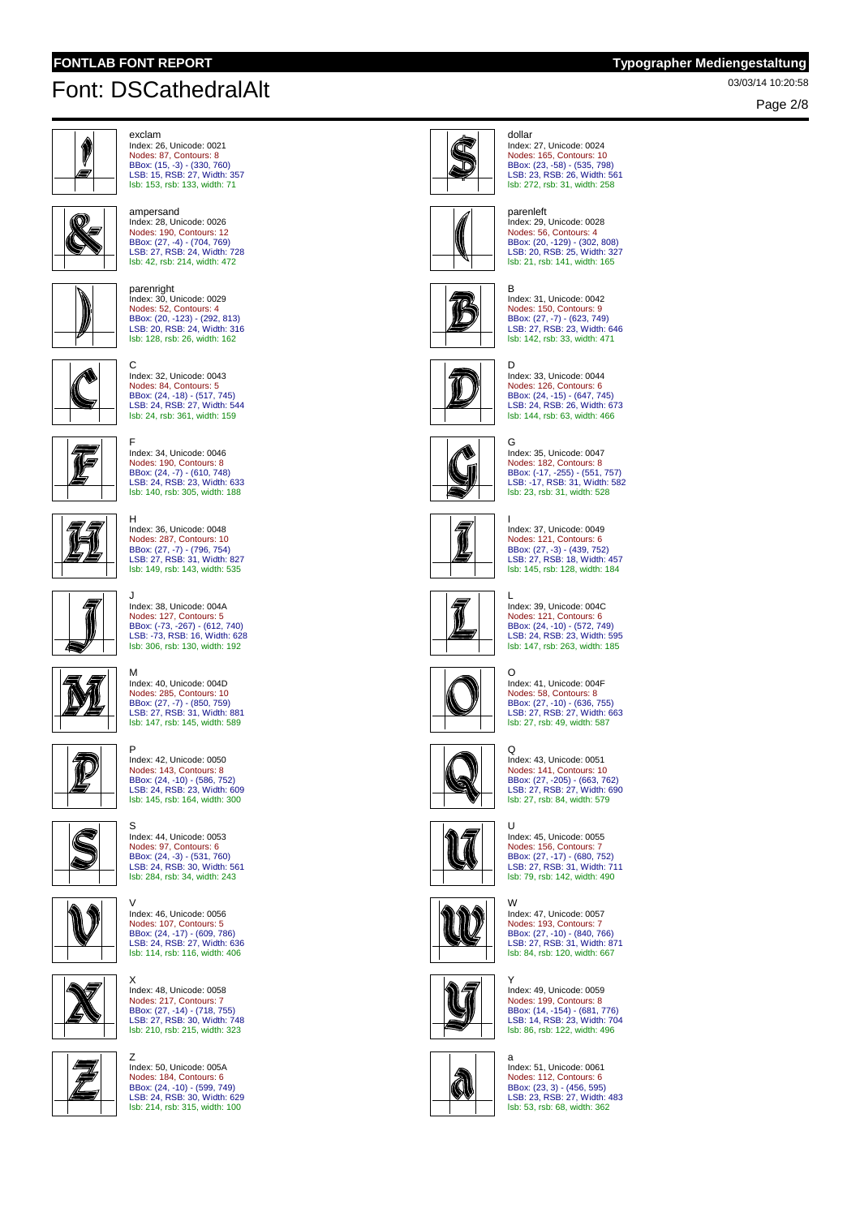# 03/03/14 10:20:58 Font: DSCathedralAlt

ampersand



exclam Index: 26, Unicode: 0021 Nodes: 87, Contours: 8 BBox: (15, -3) - (330, 760) LSB: 15, RSB: 27, Width: 357 lsb: 153, rsb: 133, width: 71



 $\mathbb N$ 

lsb: 42, rsb: 214, width: 472 parenright Index: 30, Unicode: 0029 Nodes: 52, Contours: 4 BBox: (20, -123) - (292, 813) LSB: 20, RSB: 24, Width: 316

lsb: 128, rsb: 26, width: 162

Index: 28, Unicode: 0026 Nodes: 190, Contours: 12 BBox: (27, -4) - (704, 769) LSB: 27, RSB: 24, Width: 728



C Index: 32, Unicode: 0043 Nodes: 84, Contours: 5 BBox: (24, -18) - (517, 745) LSB: 24, RSB: 27, Width: 544 lsb: 24, rsb: 361, width: 159



F Index: 34, Unicode: 0046 Nodes: 190, Contours: 8 BBox: (24, -7) - (610, 748) LSB: 24, RSB: 23, Width: 633 lsb: 140, rsb: 305, width: 188



Index: 36, Unicode: 0048 Nodes: 287, Contours: 10 BBox: (27, -7) - (796, 754) LSB: 27, RSB: 31, Width: 827 lsb: 149, rsb: 143, width: 535

H

J



Nodes: 127, Contours: 5 BBox: (-73, -267) - (612, 740) LSB: -73, RSB: 16, Width: 628 lsb: 306, rsb: 130, width: 192

Index: 38, Unicode: 004A



M Index: 40, Unicode: 004D Nodes: 285, Contours: 10 BBox: (27, -7) - (850, 759) LSB: 27, RSB: 31, Width: 881 lsb: 147, rsb: 145, width: 589



P Index: 42, Unicode: 0050 Nodes: 143, Contours: 8 BBox: (24, -10) - (586, 752) LSB: 24, RSB: 23, Width: 609 lsb: 145, rsb: 164, width: 300



S Index: 44, Unicode: 0053 Nodes: 97, Contours: 6 BBox: (24, -3) - (531, 760) LSB: 24, RSB: 30, Width: 561 lsb: 284, rsb: 34, width: 243



V Index: 46, Unicode: 0056 Nodes: 107, Contours: 5 BBox: (24, -17) - (609, 786) LSB: 24, RSB: 27, Width: 636 lsb: 114, rsb: 116, width: 406

X Index: 48, Unicode: 0058 Nodes: 217, Contours: 7 BBox: (27, -14) - (718, 755) LSB: 27, RSB: 30, Width: 748



lsb: 210, rsb: 215, width: 323 Z Index: 50, Unicode: 005A

Nodes: 184, Contours: 6 BBox: (24, -10) - (599, 749) LSB: 24, RSB: 30, Width: 629 lsb: 214, rsb: 315, width: 100



dollar Index: 27, Unicode: 0024 Nodes: 165, Contours: 10 BBox: (23, -58) - (535, 798) LSB: 23, RSB: 26, Width: 561 lsb: 272, rsb: 31, width: 258



## parenleft Index: 29, Unicode: 0028 Nodes: 56, Contours: 4 BBox: (20, -129) - (302, 808) LSB: 20, RSB: 25, Width: 327 lsb: 21, rsb: 141, width: 165

B



Index: 31, Unicode: 0042 Nodes: 150, Contours: 9 BBox: (27, -7) - (623, 749) LSB: 27, RSB: 23, Width: 646 lsb: 142, rsb: 33, width: 471



## D Index: 33, Unicode: 0044 Nodes: 126, Contours: 6 BBox: (24, -15) - (647, 745) LSB: 24, RSB: 26, Width: 673 lsb: 144, rsb: 63, width: 466



Index: 35, Unicode: 0047 Nodes: 182, Contours: 8 BBox: (-17, -255) - (551, 757) LSB: -17, RSB: 31, Width: 582 lsb: 23, rsb: 31, width: 528



I Index: 37, Unicode: 0049 Nodes: 121, Contours: 6 BBox: (27, -3) - (439, 752) LSB: 27, RSB: 18, Width: 457 lsb: 145, rsb: 128, width: 184



 $\mathbf{L}$ Index: 39, Unicode: 004C Nodes: 121, Contours: 6 BBox: (24, -10) - (572, 749) LSB: 24, RSB: 23, Width: 595 lsb: 147, rsb: 263, width: 185



O Index: 41, Unicode: 004F Nodes: 58, Contours: 8 BBox: (27, -10) - (636, 755) LSB: 27, RSB: 27, Width: 663 lsb: 27, rsb: 49, width: 587



 $\Omega$ Index: 43, Unicode: 0051 Nodes: 141, Contours: 10 BBox: (27, -205) - (663, 762) LSB: 27, RSB: 27, Width: 690 lsb: 27, rsb: 84, width: 579



## $\overline{11}$ Index: 45, Unicode: 0055 Nodes: 156, Contours: 7 BBox: (27, -17) - (680, 752) LSB: 27, RSB: 31, Width: 711 lsb: 79, rsb: 142, width: 490



W

Index: 47, Unicode: 0057 Nodes: 193, Contours: 7 BBox: (27, -10) - (840, 766) LSB: 27, RSB: 31, Width: 871 lsb: 84, rsb: 120, width: 667



Y Index: 49, Unicode: 0059 Nodes: 199, Contours: 8 BBox: (14, -154) - (681, 776) LSB: 14, RSB: 23, Width: 704 lsb: 86, rsb: 122, width: 496



a Index: 51, Unicode: 0061 Nodes: 112, Contours: 6 BBox: (23, 3) - (456, 595) LSB: 23, RSB: 27, Width: 483 lsb: 53, rsb: 68, width: 362

Page 2/8

G

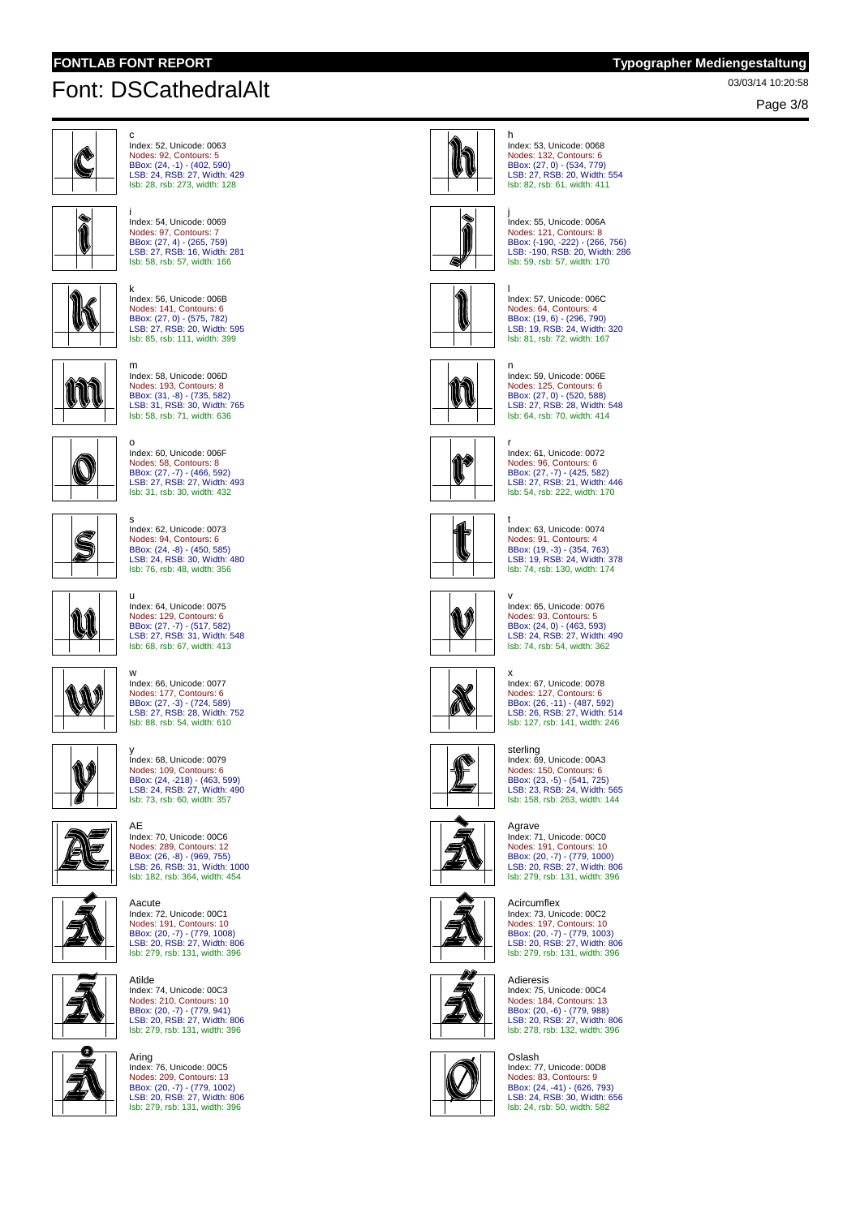# 03/03/14 10:20:58 Font: DSCathedralAlt

Page 3/8



c Index: 52, Unicode: 0063 Nodes: 92, Contours: 5 BBox: (24, -1) - (402, 590) LSB: 24, RSB: 27, Width: 429 lsb: 28, rsb: 273, width: 128

i Index: 54, Unicode: 0069 Nodes: 97, Contours: 7 BBox: (27, 4) - (265, 759) LSB: 27, RSB: 16, Width: 281



k Index: 56, Unicode: 006B Nodes: 141, Contours: 6 BBox: (27, 0) - (575, 782) LSB: 27, RSB: 20, Width: 595

lsb: 58, rsb: 57, width: 166



K

lsb: 85, rsb: 111, width: 399 m



o Index: 60, Unicode: 006F Nodes: 58, Contours: 8 BBox: (27, -7) - (466, 592) LSB: 27, RSB: 27, Width: 493 lsb: 31, rsb: 30, width: 432



s Index: 62, Unicode: 0073 Nodes: 94, Contours: 6 BBox: (24, -8) - (450, 585) LSB: 24, RSB: 30, Width: 480 lsb: 76, rsb: 48, width: 356



u Index: 64, Unicode: 0075 Nodes: 129, Contours: 6 BBox: (27, -7) - (517, 582) LSB: 27, RSB: 31, Width: 548 lsb: 68, rsb: 67, width: 413



w Index: 66, Unicode: 0077 Nodes: 177, Contours: 6 BBox: (27, -3) - (724, 589) LSB: 27, RSB: 28, Width: 752 lsb: 88, rsb: 54, width: 610



y Index: 68, Unicode: 0079 Nodes: 109, Contours: 6 BBox: (24, -218) - (463, 599) LSB: 24, RSB: 27, Width: 490 lsb: 73, rsb: 60, width: 357

AE



Index: 70, Unicode: 00C6 Nodes: 289, Contours: 12 BBox: (26, -8) - (969, 755) LSB: 26, RSB: 31, Width: 1000 lsb: 182, rsb: 364, width: 454



Aacute Index: 72, Unicode: 00C1 Nodes: 191, Contours: 10 BBox: (20, -7) - (779, 1008) LSB: 20, RSB: 27, Width: 806 lsb: 279, rsb: 131, width: 396

Atilde Index: 74, Unicode: 00C3 Nodes: 210, Contours: 10 BBox: (20, -7) - (779, 941) LSB: 20, RSB: 27, Width: 806 lsb: 279, rsb: 131, width: 396



Aring Index: 76, Unicode: 00C5 Nodes: 209, Contours: 13 BBox: (20, -7) - (779, 1002) LSB: 20, RSB: 27, Width: 806 lsb: 279, rsb: 131, width: 396



h

n

Index: 53, Unicode: 0068 Nodes: 132, Contours: 6 BBox: (27, 0) - (534, 779) LSB: 27, RSB: 20, Width: 554 lsb: 82, rsb: 61, width: 411



j Index: 55, Unicode: 006A Nodes: 121, Contours: 8 BBox: (-190, -222) - (266, 756) LSB: -190, RSB: 20, Width: 286 lsb: 59, rsb: 57, width: 170



l Index: 57, Unicode: 006C Nodes: 64, Contours: 4 BBox: (19, 6) - (296, 790) LSB: 19, RSB: 24, Width: 320 lsb: 81, rsb: 72, width: 167



Index: 59, Unicode: 006E Nodes: 125, Contours: 6 BBox: (27, 0) - (520, 588) LSB: 27, RSB: 28, Width: 548 lsb: 64, rsb: 70, width: 414



r Index: 61, Unicode: 0072 Nodes: 96, Contours: 6 BBox: (27, -7) - (425, 582) LSB: 27, RSB: 21, Width: 446 lsb: 54, rsb: 222, width: 170



t Index: 63, Unicode: 0074 Nodes: 91, Contours: 4 BBox: (19, -3) - (354, 763) LSB: 19, RSB: 24, Width: 378 lsb: 74, rsb: 130, width: 174



v Index: 65, Unicode: 0076 Nodes: 93, Contours: 5 BBox: (24, 0) - (463, 593) LSB: 24, RSB: 27, Width: 490 lsb: 74, rsb: 54, width: 362



x Index: 67, Unicode: 0078 Nodes: 127, Contours: 6 BBox: (26, -11) - (487, 592) LSB: 26, RSB: 27, Width: 514 lsb: 127, rsb: 141, width: 246



sterling Index: 69, Unicode: 00A3 Nodes: 150, Contours: 6 BBox: (23, -5) - (541, 725) LSB: 23, RSB: 24, Width: 565 lsb: 158, rsb: 263, width: 144



Agrave Index: 71, Unicode: 00C0 Nodes: 191, Contours: 10 BBox: (20, -7) - (779, 1000) LSB: 20, RSB: 27, Width: 806 lsb: 279, rsb: 131, width: 396

#### Acircumflex

Index: 73, Unicode: 00C2 Nodes: 197, Contours: 10 BBox: (20, -7) - (779, 1003) LSB: 20, RSB: 27, Width: 806 lsb: 279, rsb: 131, width: 396



Adieresis Index: 75, Unicode: 00C4 Nodes: 184, Contours: 13 BBox: (20, -6) - (779, 988) LSB: 20, RSB: 27, Width: 806 lsb: 278, rsb: 132, width: 396



Oslash Index: 77, Unicode: 00D8 Nodes: 83, Contours: 9 BBox: (24, -41) - (626, 793) LSB: 24, RSB: 30, Width: 656 lsb: 24, rsb: 50, width: 582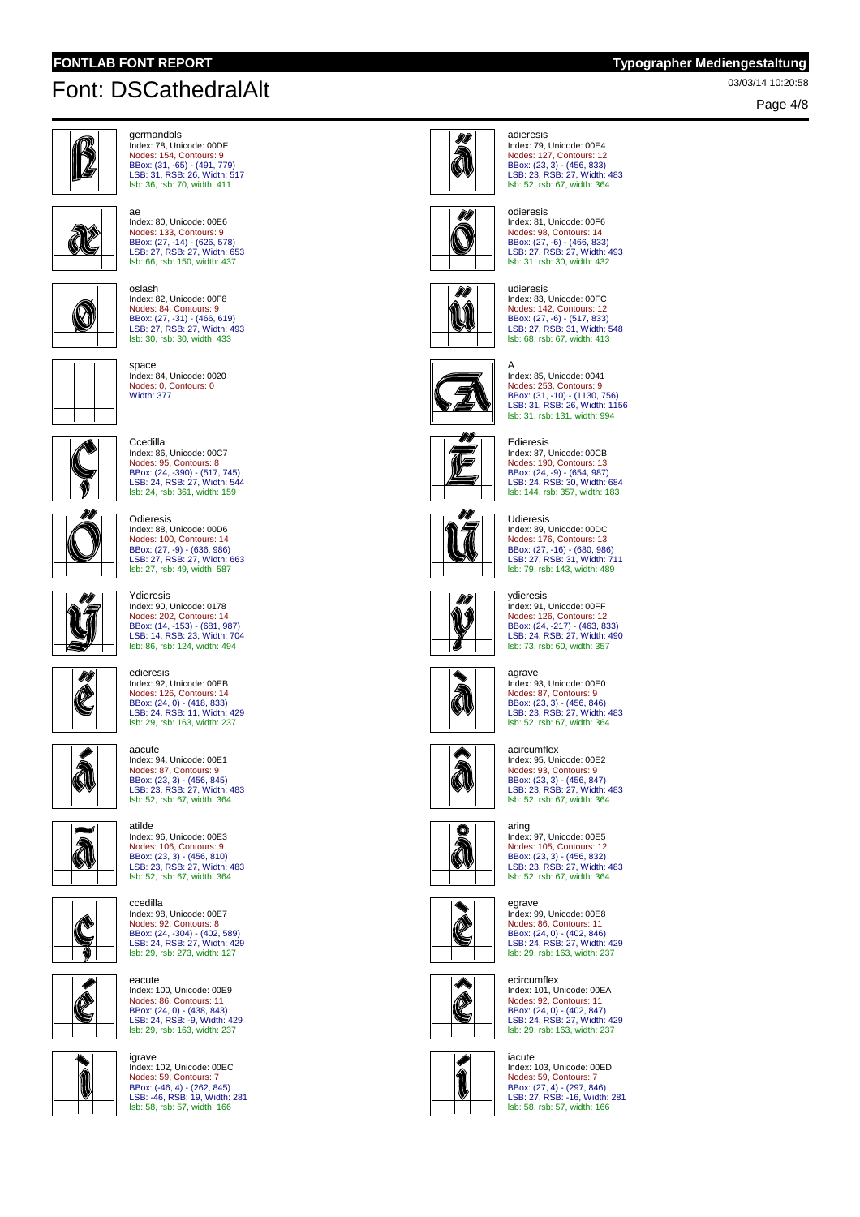# 03/03/14 10:20:58 Font: DSCathedralAlt



germandbls Index: 78, Unicode: 00DF Nodes: 154, Contours: 9 BBox: (31, -65) - (491, 779) LSB: 31, RSB: 26, Width: 517 lsb: 36, rsb: 70, width: 411



ae Index: 80, Unicode: 00E6 Nodes: 133, Contours: 9 BBox: (27, -14) - (626, 578) LSB: 27, RSB: 27, Width: 653 lsb: 66, rsb: 150, width: 437



oslash Index: 82, Unicode: 00F8 Nodes: 84, Contours: 9 BBox: (27, -31) - (466, 619) LSB: 27, RSB: 27, Width: 493 lsb: 30, rsb: 30, width: 433



space Index: 84, Unicode: 0020 Nodes: 0, Contours: 0 Width: 377



**Ccedilla** Index: 86, Unicode: 00C7 Nodes: 95, Contours: 8 BBox: (24, -390) - (517, 745) LSB: 24, RSB: 27, Width: 544 lsb: 24, rsb: 361, width: 159

Index: 88, Unicode: 00D6

Nodes: 100, Contours: 14 BBox: (27, -9) - (636, 986) LSB: 27, RSB: 27, Width: 663 lsb: 27, rsb: 49, width: 587



mii

 $\sqrt{\tilde{}}$ 

Ydieresis Index: 90, Unicode: 0178

Odieresis

Nodes: 202, Contours: 14 BBox: (14, -153) - (681, 987) LSB: 14, RSB: 23, Width: 704 lsb: 86, rsb: 124, width: 494

edieresis Index: 92, Unicode: 00EB Nodes: 126, Contours: 14 BBox: (24, 0) - (418, 833)<br>LSB: 24, RSB: 11, Width: 429<br><mark>Isb: 29, rsb: 163, width: 237</mark>



Á





Nodes: 87, Contours: 9 BBox: (23, 3) - (456, 845) LSB: 23, RSB: 27, Width: 483 lsb: 52, rsb: 67, width: 364 atilde

Index: 96, Unicode: 00E3 Nodes: 106, Contours: 9 BBox: (23, 3) - (456, 810) LSB: 23, RSB: 27, Width: 483 lsb: 52, rsb: 67, width: 364



ccedilla Index: 98, Unicode: 00E7 Nodes: 92, Contours: 8 BBox: (24, -304) - (402, 589) LSB: 24, RSB: 27, Width: 429 lsb: 29, rsb: 273, width: 127

eacute Index: 100, Unicode: 00E9 Nodes: 86, Contours: 11 BBox: (24, 0) - (438, 843) LSB: 24, RSB: -9, Width: 429



Í

lsb: 29, rsb: 163, width: 237 igrave Index: 102, Unicode: 00EC

Nodes: 59, Contours: 7 BBox: (-46, 4) - (262, 845) LSB: -46, RSB: 19, Width: 281 lsb: 58, rsb: 57, width: 166



adieresis Index: 79, Unicode: 00E4 Nodes: 127, Contours: 12 BBox: (23, 3) - (456, 833) LSB: 23, RSB: 27, Width: 483 lsb: 52, rsb: 67, width: 364



## odieresis Index: 81, Unicode: 00F6 Nodes: 98, Contours: 14 BBox: (27, -6) - (466, 833) LSB: 27, RSB: 27, Width: 493 lsb: 31, rsb: 30, width: 432



udieresis Index: 83, Unicode: 00FC Nodes: 142, Contours: 12 BBox: (27, -6) - (517, 833) LSB: 27, RSB: 31, Width: 548 lsb: 68, rsb: 67, width: 413



A Index: 85, Unicode: 0041 Nodes: 253, Contours: 9 BBox: (31, -10) - (1130, 756) LSB: 31, RSB: 26, Width: 1156 lsb: 31, rsb: 131, width: 994



Edieresis Index: 87, Unicode: 00CB Nodes: 190, Contours: 13 BBox: (24, -9) - (654, 987)<br>LSB: 24, RSB: 30, Width: 684<br><mark>Isb: 144, rsb: 357, width: 183</mark>



Udieresis Index: 89, Unicode: 00DC Nodes: 176, Contours: 13 BBox: (27, -16) - (680, 986) LSB: 27, RSB: 31, Width: 711 lsb: 79, rsb: 143, width: 489

#### ydieresis



Index: 91, Unicode: 00FF Nodes: 126, Contours: 12 BBox: (24, -217) - (463, 833) LSB: 24, RSB: 27, Width: 490 lsb: 73, rsb: 60, width: 357



agrave Index: 93, Unicode: 00E0 Nodes: 87, Contours: 9 BBox: (23, 3) - (456, 846) LSB: 23, RSB: 27, Width: 483 lsb: 52, rsb: 67, width: 364

### acircumflex

aring



Index: 95, Unicode: 00E2 Nodes: 93, Contours: 9 BBox: (23, 3) - (456, 847)<br>LSB: 23, RSB: 27, Width: 483<br><mark>Isb: 52, rsb: 67, width: 364</mark>



Index: 97, Unicode: 00E5 Nodes: 105, Contours: 12 BBox: (23, 3) - (456, 832) LSB: 23, RSB: 27, Width: 483 lsb: 52, rsb: 67, width: 364



egrave Index: 99, Unicode: 00E8 Nodes: 86, Contours: 11 BBox: (24, 0) - (402, 846) LSB: 24, RSB: 27, Width: 429 lsb: 29, rsb: 163, width: 237

### ecircumflex



Index: 101, Unicode: 00EA Nodes: 92, Contours: 11 BBox: (24, 0) - (402, 847) LSB: 24, RSB: 27, Width: 429 lsb: 29, rsb: 163, width: 237



iacute Index: 103, Unicode: 00ED Nodes: 59, Contours: 7 BBox: (27, 4) - (297, 846) LSB: 27, RSB: -16, Width: 281 lsb: 58, rsb: 57, width: 166

Page 4/8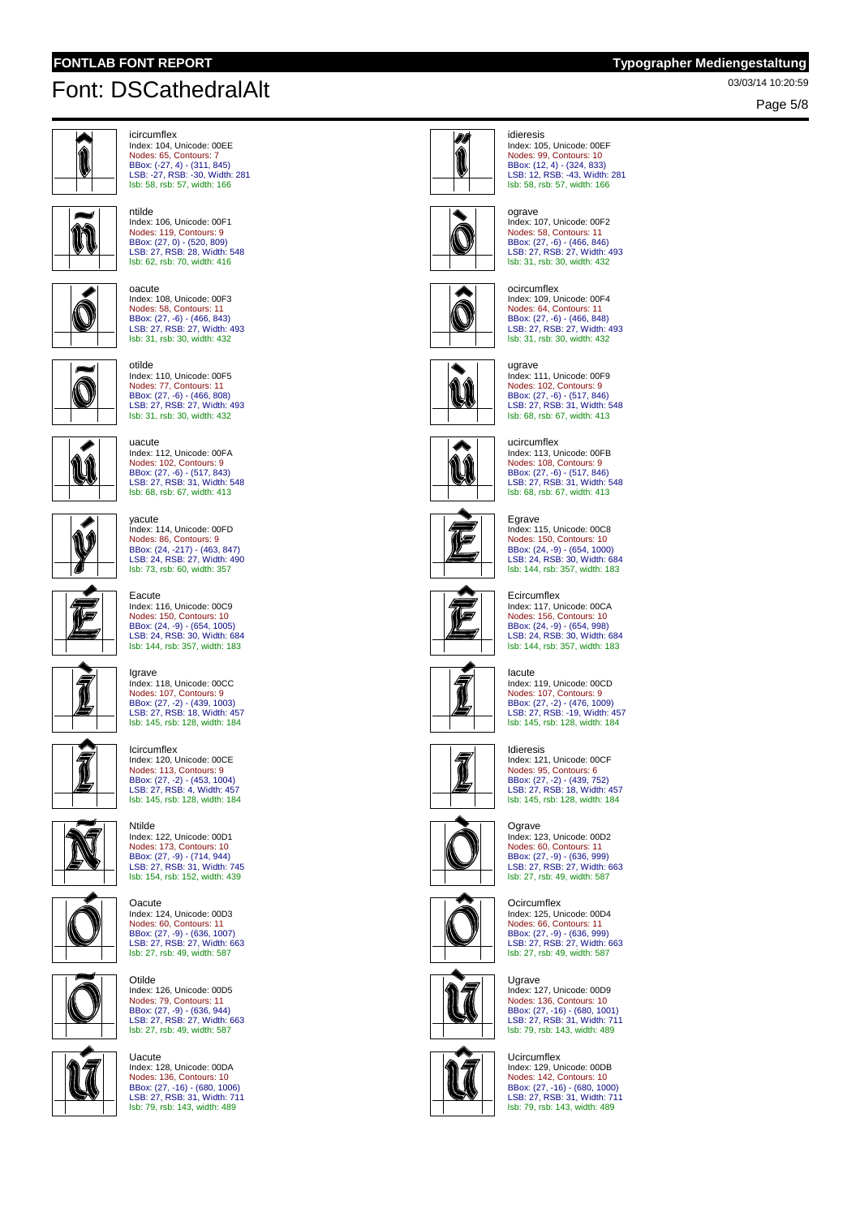ntilde

# 03/03/14 10:20:59 Font: DSCathedralAlt



Page 5/8



```
icircumflex
Index: 104, Unicode: 00EE
Nodes: 65, Contours: 7
BBox: (-27, 4) - (311, 845)
LSB: -27, RSB: -30, Width: 281
lsb: 58, rsb: 57, width: 166
```


lsb: 62, rsb: 70, width: 416 oacute Index: 108, Unicode: 00F3 Nodes: 58, Contours: 11

Index: 106, Unicode: 00F1 Nodes: 119, Contours: 9 BBox: (27, 0) - (520, 809) LSB: 27, RSB: 28, Width: 548



BBox: (27, -6) - (466, 843) LSB: 27, RSB: 27, Width: 493 lsb: 31, rsb: 30, width: 432 otilde Index: 110, Unicode: 00F5 Nodes: 77, Contours: 11 BBox: (27, -6) - (466, 808) LSB: 27, RSB: 27, Width: 493 lsb: 31, rsb: 30, width: 432



uacute Index: 112, Unicode: 00FA Nodes: 102, Contours: 9 BBox: (27, -6) - (517, 843) LSB: 27, RSB: 31, Width: 548

lsb: 68, rsb: 67, width: 413

yacute



F

Index: 114, Unicode: 00FD Nodes: 86, Contours: 9 BBox: (24, -217) - (463, 847) LSB: 24, RSB: 27, Width: 490 lsb: 73, rsb: 60, width: 357 Eacute Index: 116, Unicode: 00C9 Nodes: 150, Contours: 10 BBox: (24, -9) - (654, 1005) LSB: 24, RSB: 30, Width: 684 lsb: 144, rsb: 357, width: 183



Igrave Index: 118, Unicode: 00CC Nodes: 107, Contours: 9 BBox: (27, -2) - (439, 1003) LSB: 27, RSB: 18, Width: 457 lsb: 145, rsb: 128, width: 184







Ntilde Index: 122, Unicode: 00D1 Nodes: 173, Contours: 10 BBox: (27, -9) - (714, 944) LSB: 27, RSB: 31, Width: 745 lsb: 154, rsb: 152, width: 439



**Oacute** Index: 124, Unicode: 00D3 Nodes: 60, Contours: 11 BBox: (27, -9) - (636, 1007) LSB: 27, RSB: 27, Width: 663 lsb: 27, rsb: 49, width: 587

Otilde Index: 126, Unicode: 00D5



Nodes: 79, Contours: 11 BBox: (27, -9) - (636, 944) LSB: 27, RSB: 27, Width: 663 lsb: 27, rsb: 49, width: 587 Uacute Index: 128, Unicode: 00DA





idieresis Index: 105, Unicode: 00EF Nodes: 99, Contours: 10 BBox: (12, 4) - (324, 833) LSB: 12, RSB: -43, Width: 281 lsb: 58, rsb: 57, width: 166



ograve Index: 107, Unicode: 00F2 Nodes: 58, Contours: 11 BBox: (27, -6) - (466, 846) LSB: 27, RSB: 27, Width: 493 lsb: 31, rsb: 30, width: 432



ocircumflex Index: 109, Unicode: 00F4 Nodes: 64, Contours: 11 BBox: (27, -6) - (466, 848) LSB: 27, RSB: 27, Width: 493 lsb: 31, rsb: 30, width: 432



ugrave Index: 111, Unicode: 00F9 Nodes: 102, Contours: 9 BBox: (27, -6) - (517, 846)<br>LSB: 27, RSB: 31, Width: 548<br><mark>Isb: 68, rsb: 67, width: 413</mark>

#### ucircumflex Index: 113, Unicode: 00FB

ÛÎ Nodes: 108, Contours: 9 BBox: (27, -6) - (517, 846) LSB: 27, RSB: 31, Width: 548 lsb: 68, rsb: 67, width: 413



Egrave Index: 115, Unicode: 00C8 Nodes: 150, Contours: 10 BBox: (24, -9) - (654, 1000) LSB: 24, RSB: 30, Width: 684 lsb: 144, rsb: 357, width: 183

#### **Ecircumflex**



Index: 117, Unicode: 00CA Nodes: 156, Contours: 10 BBox: (24, -9) - (654, 998) LSB: 24, RSB: 30, Width: 684 lsb: 144, rsb: 357, width: 183

#### Iacute



Index: 119, Unicode: 00CD Nodes: 107, Contours: 9 BBox: (27, -2) - (476, 1009) LSB: 27, RSB: -19, Width: 457 lsb: 145, rsb: 128, width: 184



Idieresis Index: 121, Unicode: 00CF Nodes: 95, Contours: 6 BBox: (27, -2) - (439, 752) LSB: 27, RSB: 18, Width: 457 lsb: 145, rsb: 128, width: 184



#### Ograve Index: 123, Unicode: 00D2

Nodes: 60, Contours: 11 BBox: (27, -9) - (636, 999) LSB: 27, RSB: 27, Width: 663 lsb: 27, rsb: 49, width: 587

### **Ocircumflex**



Index: 125, Unicode: 00D4 Nodes: 66, Contours: 11 BBox: (27, -9) - (636, 999) LSB: 27, RSB: 27, Width: 663 lsb: 27, rsb: 49, width: 587



Ugrave Index: 127, Unicode: 00D9 Nodes: 136, Contours: 10 BBox: (27, -16) - (680, 1001) LSB: 27, RSB: 31, Width: 711 lsb: 79, rsb: 143, width: 489



Ucircumflex Index: 129, Unicode: 00DB Nodes: 142, Contours: 10 BBox: (27, -16) - (680, 1000) LSB: 27, RSB: 31, Width: 711 lsb: 79, rsb: 143, width: 489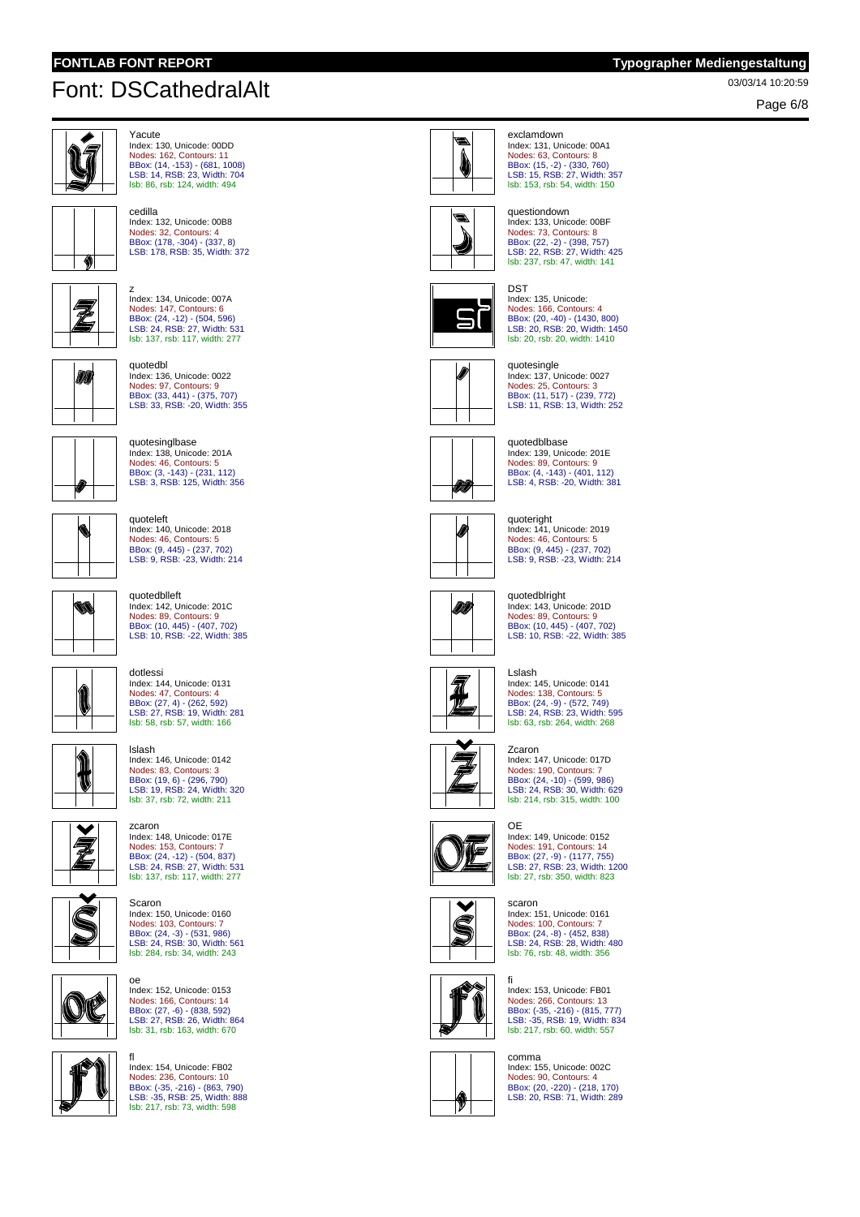cedilla

# 03/03/14 10:20:59 Font: DSCathedralAlt



Page 6/8



```
Yacute
Index: 130, Unicode: 00DD
Nodes: 162, Contours: 11
BBox: (14, -153) - (681, 1008)
LSB: 14, RSB: 23, Width: 704
lsb: 86, rsb: 124, width: 494
```


Z

Index: 132, Unicode: 00B8 Nodes: 32, Contours: 4 BBox: (178, -304) - (337, 8) LSB: 178, RSB: 35, Width: 372



z Index: 134, Unicode: 007A Nodes: 147, Contours: 6 BBox: (24, -12) - (504, 596) LSB: 24, RSB: 27, Width: 531 lsb: 137, rsb: 117, width: 277



quotedbl Index: 136, Unicode: 0022 Nodes: 97, Contours: 9 BBox: (33, 441) - (375, 707) LSB: 33, RSB: -20, Width: 355



quotesinglbase Index: 138, Unicode: 201A Nodes: 46, Contours: 5 BBox: (3, -143) - (231, 112) LSB: 3, RSB: 125, Width: 356



Ŵ

quoteleft Index: 140, Unicode: 2018 Nodes: 46, Contours: 5 BBox: (9, 445) - (237, 702) LSB: 9, RSB: -23, Width: 214

### quotedblleft

dotlessi

Index: 142, Unicode: 201C Nodes: 89, Contours: 9 BBox: (10, 445) - (407, 702) LSB: 10, RSB: -22, Width: 385



1 'N

lslash Index: 146, Unicode: 0142 Nodes: 83, Contours: 3 BBox: (19, 6) - (296, 790) LSB: 19, RSB: 24, Width: 320 lsb: 37, rsb: 72, width: 211

Nodes: 47, Contours: 4 BBox: (27, 4) - (262, 592) LSB: 27, RSB: 19, Width: 281 lsb: 58, rsb: 57, width: 166

Index: 144, Unicode: 0131



zcaron Index: 148, Unicode: 017E Nodes: 153, Contours: 7 BBox: (24, -12) - (504, 837) LSB: 24, RSB: 27, Width: 531 lsb: 137, rsb: 117, width: 277



Scaron Index: 150, Unicode: 0160 Nodes: 103, Contours: 7 BBox: (24, -3) - (531, 986) LSB: 24, RSB: 30, Width: 561 lsb: 284, rsb: 34, width: 243



oe Index: 152, Unicode: 0153 Nodes: 166, Contours: 14 BBox: (27, -6) - (838, 592) LSB: 27, RSB: 26, Width: 864 lsb: 31, rsb: 163, width: 670



fl

..<br>Index: 154, Unicode: FB02 Nodes: 236, Contours: 10 BBox: (-35, -216) - (863, 790) LSB: -35, RSB: 25, Width: 888 lsb: 217, rsb: 73, width: 598



Index: 131, Unicode: 00A1 Nodes: 63, Contours: 8 BBox: (15, -2) - (330, 760) LSB: 15, RSB: 27, Width: 357 lsb: 153, rsb: 54, width: 150

exclamdown



## questiondown Index: 133, Unicode: 00BF Nodes: 73, Contours: 8 BBox: (22, -2) - (398, 757) LSB: 22, RSB: 27, Width: 425 lsb: 237, rsb: 47, width: 141



DST Index: 135, Unicode: Nodes: 166, Contours: 4 BBox: (20, -40) - (1430, 800) LSB: 20, RSB: 20, Width: 1450 lsb: 20, rsb: 20, width: 1410



quotesingle Index: 137, Unicode: 0027 Nodes: 25, Contours: 3 BBox: (11, 517) - (239, 772) LSB: 11, RSB: 13, Width: 252



quotedblbase Index: 139, Unicode: 201E Nodes: 89, Contours: 9 BBox: (4, -143) - (401, 112) LSB: 4, RSB: -20, Width: 381



quoteright Index: 141, Unicode: 2019 Nodes: 46, Contours: 5 BBox: (9, 445) - (237, 702) LSB: 9, RSB: -23, Width: 214

#### quotedblright



Index: 143, Unicode: 201D Nodes: 89, Contours: 9 BBox: (10, 445) - (407, 702) LSB: 10, RSB: -22, Width: 385



Lslash Index: 145, Unicode: 0141 Nodes: 138, Contours: 5 BBox: (24, -9) - (572, 749) LSB: 24, RSB: 23, Width: 595 lsb: 63, rsb: 264, width: 268



Zcaron Index: 147, Unicode: 017D Nodes: 190, Contours: 7 BBox: (24, -10) - (599, 986) LSB: 24, RSB: 30, Width: 629 lsb: 214, rsb: 315, width: 100



OE Index: 149, Unicode: 0152 Nodes: 191, Contours: 14 BBox: (27, -9) - (1177, 755) LSB: 27, RSB: 23, Width: 1200 lsb: 27, rsb: 350, width: 823



scaron Index: 151, Unicode: 0161 Nodes: 100, Contours: 7 BBox: (24, -8) - (452, 838) LSB: 24, RSB: 28, Width: 480 lsb: 76, rsb: 48, width: 356



fi ..<br>Index: 153, Unicode: FB01 Nodes: 266, Contours: 13 BBox: (-35, -216) - (815, 777) LSB: -35, RSB: 19, Width: 834 lsb: 217, rsb: 60, width: 557



comma Index: 155, Unicode: 002C Nodes: 90, Contours: 4 BBox: (20, -220) - (218, 170) LSB: 20, RSB: 71, Width: 289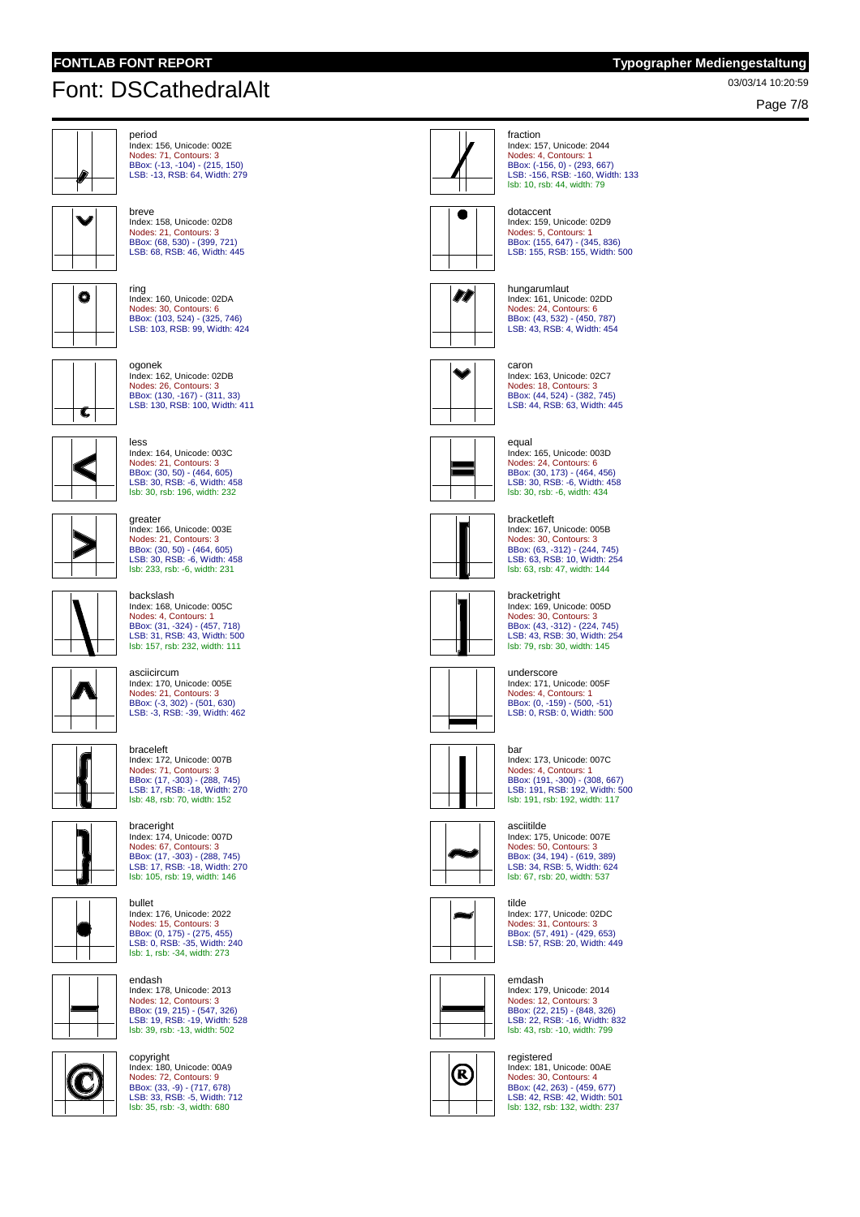# 03/03/14 10:20:59 Font: DSCathedralAlt

Page 7/8



Index: 156, Unicode: 002E Nodes: 71, Contours: 3 BBox: (-13, -104) - (215, 150) LSB: -13, RSB: 64, Width: 279

Nodes: 21, Contours: 3 BBox: (68, 530) - (399, 721) LSB: 68, RSB: 46, Width: 445



 $\bullet$ 

ring Index: 160, Unicode: 02DA Nodes: 30, Contours: 6 BBox: (103, 524) - (325, 746) LSB: 103, RSB: 99, Width: 424



ogonek Index: 162, Unicode: 02DB Nodes: 26, Contours: 3 BBox: (130, -167) - (311, 33) LSB: 130, RSB: 100, Width: 411



less Index: 164, Unicode: 003C Nodes: 21, Contours: 3 BBox: (30, 50) - (464, 605) LSB: 30, RSB: -6, Width: 458 lsb: 30, rsb: 196, width: 232

Index: 166, Unicode: 003E Nodes: 21, Contours: 3 BBox: (30, 50) - (464, 605) LSB: 30, RSB: -6, Width: 458 lsb: 233, rsb: -6, width: 231



#### backslash Index: 168, Unicode: 005C

asciicircum Index: 170, Unicode: 005E Nodes: 21, Contours: 3 BBox: (-3, 302) - (501, 630) LSB: -3, RSB: -39, Width: 462

greater

Nodes: 4, Contours: 1 BBox: (31, -324) - (457, 718) LSB: 31, RSB: 43, Width: 500 lsb: 157, rsb: 232, width: 111



# braceleft



Index: 172, Unicode: 007B Nodes: 71, Contours: 3 BBox: (17, -303) - (288, 745) LSB: 17, RSB: -18, Width: 270 lsb: 48, rsb: 70, width: 152

### braceright Index: 174, Unicode: 007D

endash

Nodes: 67, Contours: 3 BBox: (17, -303) - (288, 745) LSB: 17, RSB: -18, Width: 270 lsb: 105, rsb: 19, width: 146



bullet Index: 176, Unicode: 2022 Nodes: 15, Contours: 3 BBox: (0, 175) - (275, 455) LSB: 0, RSB: -35, Width: 240 lsb: 1, rsb: -34, width: 273

Index: 178, Unicode: 2013



Nodes: 12, Contours: 3 BBox: (19, 215) - (547, 326) LSB: 19, RSB: -19, Width: 528 lsb: 39, rsb: -13, width: 502



copyright Index: 180, Unicode: 00A9 Nodes: 72, Contours: 9 BBox: (33, -9) - (717, 678) LSB: 33, RSB: -5, Width: 712 lsb: 35, rsb: -3, width: 680



fraction Index: 157, Unicode: 2044 Nodes: 4, Contours: 1 BBox: (-156, 0) - (293, 667) LSB: -156, RSB: -160, Width: 133 lsb: 10, rsb: 44, width: 79



dotaccent Index: 159, Unicode: 02D9 Nodes: 5, Contours: 1 BBox: (155, 647) - (345, 836) LSB: 155, RSB: 155, Width: 500



hungarumlaut Index: 161, Unicode: 02DD Nodes: 24, Contours: 6 BBox: (43, 532) - (450, 787) LSB: 43, RSB: 4, Width: 454



caron Index: 163, Unicode: 02C7 Nodes: 18, Contours: 3 BBox: (44, 524) - (382, 745) LSB: 44, RSB: 63, Width: 445



Index: 165, Unicode: 003D Nodes: 24, Contours: 6 BBox: (30, 173) - (464, 456) LSB: 30, RSB: -6, Width: 458 lsb: 30, rsb: -6, width: 434



bracketleft Index: 167, Unicode: 005B Nodes: 30, Contours: 3 BBox: (63, -312) - (244, 745) LSB: 63, RSB: 10, Width: 254 lsb: 63, rsb: 47, width: 144



Index: 169, Unicode: 005D Nodes: 30, Contours: 3 BBox: (43, -312) - (224, 745) LSB: 43, RSB: 30, Width: 254 lsb: 79, rsb: 30, width: 145



underscore Index: 171, Unicode: 005F Nodes: 4, Contours: 1 BBox: (0, -159) - (500, -51) LSB: 0, RSB: 0, Width: 500



Index: 173, Unicode: 007C Nodes: 4, Contours: 1 BBox: (191, -300) - (308, 667) LSB: 191, RSB: 192, Width: 500 lsb: 191, rsb: 192, width: 117

#### asciitilde

Index: 175, Unicode: 007E Nodes: 50, Contours: 3 BBox: (34, 194) - (619, 389) LSB: 34, RSB: 5, Width: 624 lsb: 67, rsb: 20, width: 537



tilde Index: 177, Unicode: 02DC Nodes: 31, Contours: 3 BBox: (57, 491) - (429, 653) LSB: 57, RSB: 20, Width: 449

#### emdash

(R)



### registered

Index: 181, Unicode: 00AE Nodes: 30, Contours: 4 BBox: (42, 263) - (459, 677) LSB: 42, RSB: 42, Width: 501 lsb: 132, rsb: 132, width: 237





bracketright



bar